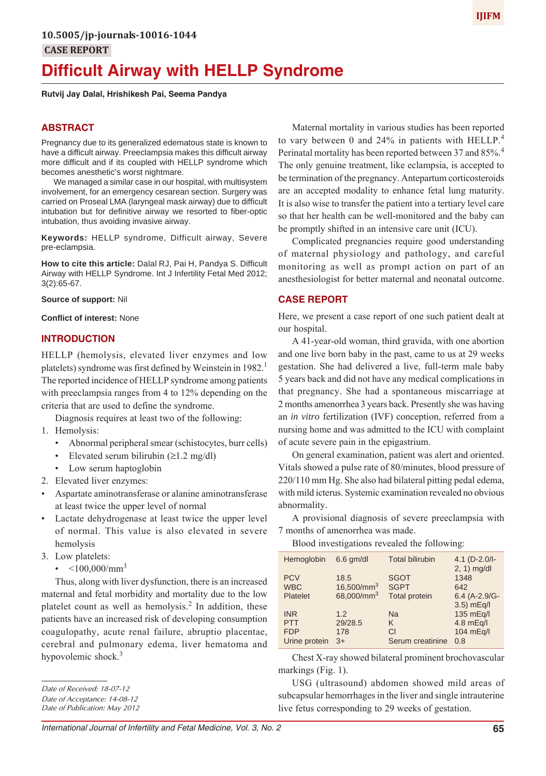# **Difficult Airway with HELLP Syndrome**

#### **Rutvij Jay Dalal, Hrishikesh Pai, Seema Pandya**

#### **ABSTRACT**

Pregnancy due to its generalized edematous state is known to have a difficult airway. Preeclampsia makes this difficult airway more difficult and if its coupled with HELLP syndrome which becomes anesthetic's worst nightmare.

We managed a similar case in our hospital, with multisystem involvement, for an emergency cesarean section. Surgery was carried on Proseal LMA (laryngeal mask airway) due to difficult intubation but for definitive airway we resorted to fiber-optic intubation, thus avoiding invasive airway.

**Keywords:** HELLP syndrome, Difficult airway, Severe pre-eclampsia.

**How to cite this article:** Dalal RJ, Pai H, Pandya S. Difficult Airway with HELLP Syndrome. Int J Infertility Fetal Med 2012; 3(2):65-67.

**Source of support:** Nil

**Conflict of interest:** None

#### **INTRODUCTION**

HELLP (hemolysis, elevated liver enzymes and low platelets) syndrome was first defined by Weinstein in 1982. The reported incidence of HELLP syndrome among patients with preeclampsia ranges from 4 to 12% depending on the criteria that are used to define the syndrome.

Diagnosis requires at least two of the following:

- 1. Hemolysis:
	- Abnormal peripheral smear (schistocytes, burr cells)
	- Elevated serum bilirubin  $(\geq 1.2 \text{ mg/dl})$
	- Low serum haptoglobin
- 2. Elevated liver enzymes:
- Aspartate aminotransferase or alanine aminotransferase at least twice the upper level of normal
- Lactate dehydrogenase at least twice the upper level of normal. This value is also elevated in severe hemolysis
- 3. Low platelets:
	- $<$ 100,000/mm<sup>3</sup>

Thus, along with liver dysfunction, there is an increased maternal and fetal morbidity and mortality due to the low platelet count as well as hemolysis.<sup>2</sup> In addition, these patients have an increased risk of developing consumption coagulopathy, acute renal failure, abruptio placentae, cerebral and pulmonary edema, liver hematoma and hypovolemic shock. $3$ 

*Date of Acceptance: 14-08-12*

*Date of Publication: May 2012*

Maternal mortality in various studies has been reported to vary between 0 and 24% in patients with HELLP.<sup>4</sup> Perinatal mortality has been reported between 37 and 85%.<sup>4</sup> The only genuine treatment, like eclampsia, is accepted to be termination of the pregnancy. Antepartum corticosteroids are an accepted modality to enhance fetal lung maturity. It is also wise to transfer the patient into a tertiary level care so that her health can be well-monitored and the baby can be promptly shifted in an intensive care unit (ICU).

Complicated pregnancies require good understanding of maternal physiology and pathology, and careful monitoring as well as prompt action on part of an anesthesiologist for better maternal and neonatal outcome.

# **CASE REPORT**

Here, we present a case report of one such patient dealt at our hospital.

A 41-year-old woman, third gravida, with one abortion and one live born baby in the past, came to us at 29 weeks gestation. She had delivered a live, full-term male baby 5 years back and did not have any medical complications in that pregnancy. She had a spontaneous miscarriage at 2 months amenorrhea 3 years back. Presently she was having an *in vitro* fertilization (IVF) conception, referred from a nursing home and was admitted to the ICU with complaint of acute severe pain in the epigastrium.

On general examination, patient was alert and oriented. Vitals showed a pulse rate of 80/minutes, blood pressure of 220/110 mm Hg. She also had bilateral pitting pedal edema, with mild icterus. Systemic examination revealed no obvious abnormality.

A provisional diagnosis of severe preeclampsia with 7 months of amenorrhea was made.

Blood investigations revealed the following:

| Hemoglobin    | $6.6$ qm/dl            | <b>Total bilirubin</b> | 4.1 $(D-2.0/-$<br>$2, 1)$ mg/dl |
|---------------|------------------------|------------------------|---------------------------------|
| <b>PCV</b>    | 18.5                   | <b>SGOT</b>            | 1348                            |
| <b>WBC</b>    | 16,500/mm <sup>3</sup> | <b>SGPT</b>            | 642                             |
| Platelet      | 68,000/mm <sup>3</sup> | <b>Total protein</b>   | $6.4(A-2.9/G-$                  |
|               |                        |                        | 3.5) mEq/l                      |
| <b>INR</b>    | 1.2                    | Na                     | 135 mEg/l                       |
| <b>PTT</b>    | 29/28.5                | K                      | $4.8$ mEq/l                     |
| <b>FDP</b>    | 178                    | CI                     | 104 mEg/l                       |
| Urine protein | $3+$                   | Serum creatinine       | 0.8                             |
|               |                        |                        |                                 |

Chest X-ray showed bilateral prominent brochovascular markings (Fig. 1).

USG (ultrasound) abdomen showed mild areas of subcapsular hemorrhages in the liver and single intrauterine live fetus corresponding to 29 weeks of gestation.

*Date of Received: 18-07-12*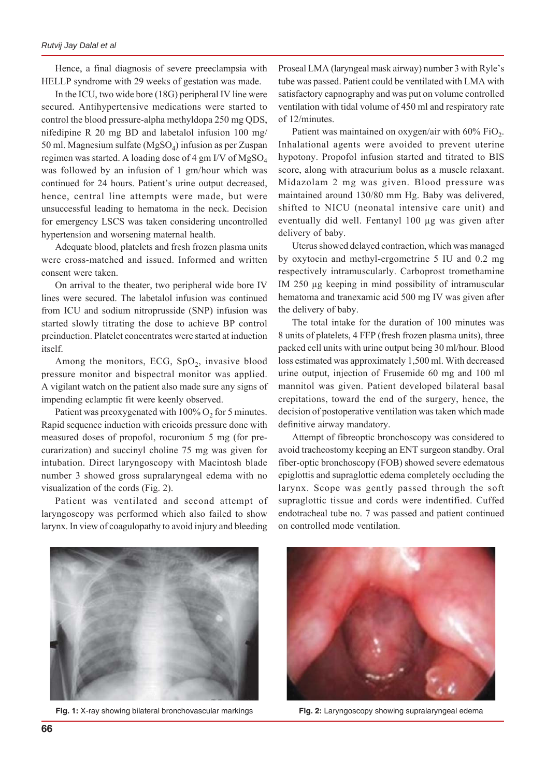Hence, a final diagnosis of severe preeclampsia with HELLP syndrome with 29 weeks of gestation was made.

In the ICU, two wide bore (18G) peripheral IV line were secured. Antihypertensive medications were started to control the blood pressure-alpha methyldopa 250 mg QDS, nifedipine R 20 mg BD and labetalol infusion 100 mg/ 50 ml. Magnesium sulfate ( $MgSO<sub>4</sub>$ ) infusion as per Zuspan regimen was started. A loading dose of 4 gm I/V of MgSO<sub>4</sub> was followed by an infusion of 1 gm/hour which was continued for 24 hours. Patient's urine output decreased, hence, central line attempts were made, but were unsuccessful leading to hematoma in the neck. Decision for emergency LSCS was taken considering uncontrolled hypertension and worsening maternal health.

Adequate blood, platelets and fresh frozen plasma units were cross-matched and issued. Informed and written consent were taken.

On arrival to the theater, two peripheral wide bore IV lines were secured. The labetalol infusion was continued from ICU and sodium nitroprusside (SNP) infusion was started slowly titrating the dose to achieve BP control preinduction. Platelet concentrates were started at induction itself.

Among the monitors, ECG,  $SpO<sub>2</sub>$ , invasive blood pressure monitor and bispectral monitor was applied. A vigilant watch on the patient also made sure any signs of impending eclamptic fit were keenly observed.

Patient was preoxygenated with  $100\%$  O<sub>2</sub> for 5 minutes. Rapid sequence induction with cricoids pressure done with measured doses of propofol, rocuronium 5 mg (for precurarization) and succinyl choline 75 mg was given for intubation. Direct laryngoscopy with Macintosh blade number 3 showed gross supralaryngeal edema with no visualization of the cords (Fig. 2).

Patient was ventilated and second attempt of laryngoscopy was performed which also failed to show larynx. In view of coagulopathy to avoid injury and bleeding

Proseal LMA (laryngeal mask airway) number 3 with Ryle's tube was passed. Patient could be ventilated with LMA with satisfactory capnography and was put on volume controlled ventilation with tidal volume of 450 ml and respiratory rate of 12/minutes.

Patient was maintained on oxygen/air with  $60\%$  FiO<sub>2</sub>. Inhalational agents were avoided to prevent uterine hypotony. Propofol infusion started and titrated to BIS score, along with atracurium bolus as a muscle relaxant. Midazolam 2 mg was given. Blood pressure was maintained around 130/80 mm Hg. Baby was delivered, shifted to NICU (neonatal intensive care unit) and eventually did well. Fentanyl 100 μg was given after delivery of baby.

Uterus showed delayed contraction, which was managed by oxytocin and methyl-ergometrine 5 IU and 0.2 mg respectively intramuscularly. Carboprost tromethamine IM 250 μg keeping in mind possibility of intramuscular hematoma and tranexamic acid 500 mg IV was given after the delivery of baby.

The total intake for the duration of 100 minutes was 8 units of platelets, 4 FFP (fresh frozen plasma units), three packed cell units with urine output being 30 ml/hour. Blood loss estimated was approximately 1,500 ml. With decreased urine output, injection of Frusemide 60 mg and 100 ml mannitol was given. Patient developed bilateral basal crepitations, toward the end of the surgery, hence, the decision of postoperative ventilation was taken which made definitive airway mandatory.

Attempt of fibreoptic bronchoscopy was considered to avoid tracheostomy keeping an ENT surgeon standby. Oral fiber-optic bronchoscopy (FOB) showed severe edematous epiglottis and supraglottic edema completely occluding the larynx. Scope was gently passed through the soft supraglottic tissue and cords were indentified. Cuffed endotracheal tube no. 7 was passed and patient continued on controlled mode ventilation.



**Fig. 1:** X-ray showing bilateral bronchovascular markings **Fig. 2:** Laryngoscopy showing supralaryngeal edema